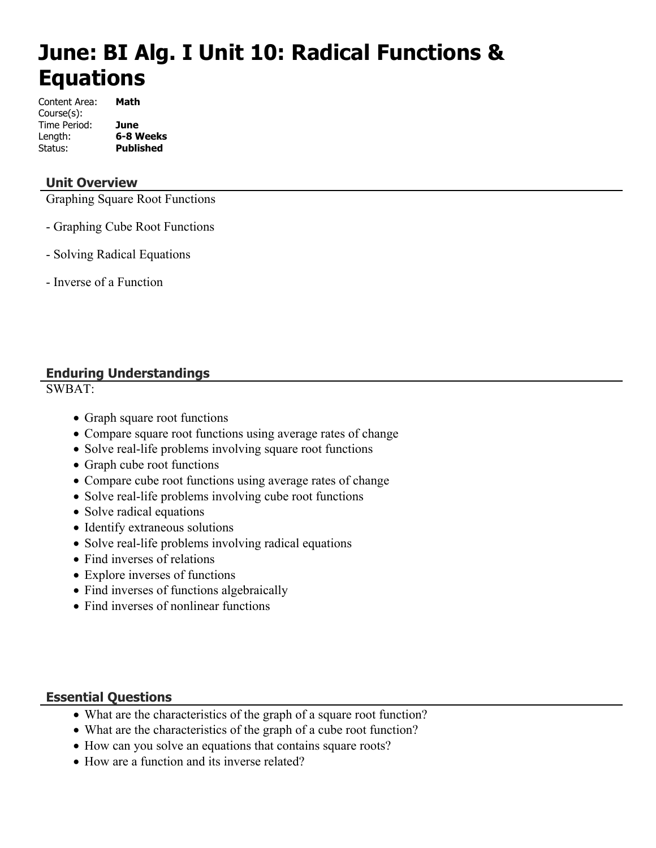# **June: BI Alg. I Unit 10: Radical Functions & Equations**

| Content Area: | Math             |
|---------------|------------------|
| Course(s):    |                  |
| Time Period:  | June             |
| Length:       | 6-8 Weeks        |
| Status:       | <b>Published</b> |

## **Unit Overview**

Graphing Square Root Functions

- Graphing Cube Root Functions
- Solving Radical Equations
- Inverse of a Function

## **Enduring Understandings**

SWBAT:

- Graph square root functions
- Compare square root functions using average rates of change
- Solve real-life problems involving square root functions
- Graph cube root functions
- Compare cube root functions using average rates of change
- Solve real-life problems involving cube root functions
- Solve radical equations
- Identify extraneous solutions
- Solve real-life problems involving radical equations
- Find inverses of relations
- Explore inverses of functions
- Find inverses of functions algebraically
- Find inverses of nonlinear functions

#### **Essential Questions**

- What are the characteristics of the graph of a square root function?
- What are the characteristics of the graph of a cube root function?
- How can you solve an equations that contains square roots?
- How are a function and its inverse related?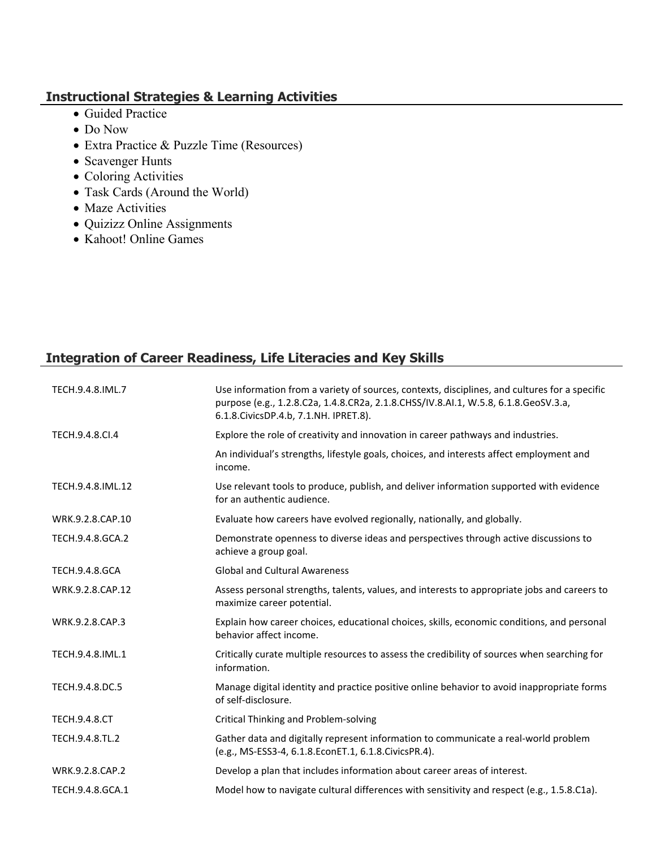# **Instructional Strategies & Learning Activities**

- Guided Practice
- Do Now
- Extra Practice & Puzzle Time (Resources)
- Scavenger Hunts
- Coloring Activities
- Task Cards (Around the World)
- Maze Activities
- Quizizz Online Assignments
- Kahoot! Online Games

# **Integration of Career Readiness, Life Literacies and Key Skills**

| TECH.9.4.8.IML.7      | Use information from a variety of sources, contexts, disciplines, and cultures for a specific<br>purpose (e.g., 1.2.8.C2a, 1.4.8.CR2a, 2.1.8.CHSS/IV.8.AI.1, W.5.8, 6.1.8.GeoSV.3.a,<br>6.1.8. Civics DP.4.b, 7.1. NH. IPRET.8). |
|-----------------------|----------------------------------------------------------------------------------------------------------------------------------------------------------------------------------------------------------------------------------|
| TECH.9.4.8.Cl.4       | Explore the role of creativity and innovation in career pathways and industries.                                                                                                                                                 |
|                       | An individual's strengths, lifestyle goals, choices, and interests affect employment and<br>income.                                                                                                                              |
| TECH.9.4.8.IML.12     | Use relevant tools to produce, publish, and deliver information supported with evidence<br>for an authentic audience.                                                                                                            |
| WRK.9.2.8.CAP.10      | Evaluate how careers have evolved regionally, nationally, and globally.                                                                                                                                                          |
| TECH.9.4.8.GCA.2      | Demonstrate openness to diverse ideas and perspectives through active discussions to<br>achieve a group goal.                                                                                                                    |
| <b>TECH.9.4.8.GCA</b> | <b>Global and Cultural Awareness</b>                                                                                                                                                                                             |
| WRK.9.2.8.CAP.12      | Assess personal strengths, talents, values, and interests to appropriate jobs and careers to<br>maximize career potential.                                                                                                       |
| WRK.9.2.8.CAP.3       | Explain how career choices, educational choices, skills, economic conditions, and personal<br>behavior affect income.                                                                                                            |
| TECH.9.4.8.IML.1      | Critically curate multiple resources to assess the credibility of sources when searching for<br>information.                                                                                                                     |
| TECH.9.4.8.DC.5       | Manage digital identity and practice positive online behavior to avoid inappropriate forms<br>of self-disclosure.                                                                                                                |
| <b>TECH.9.4.8.CT</b>  | Critical Thinking and Problem-solving                                                                                                                                                                                            |
| TECH.9.4.8.TL.2       | Gather data and digitally represent information to communicate a real-world problem<br>(e.g., MS-ESS3-4, 6.1.8.EconET.1, 6.1.8.CivicsPR.4).                                                                                      |
| WRK.9.2.8.CAP.2       | Develop a plan that includes information about career areas of interest.                                                                                                                                                         |
| TECH.9.4.8.GCA.1      | Model how to navigate cultural differences with sensitivity and respect (e.g., 1.5.8.C1a).                                                                                                                                       |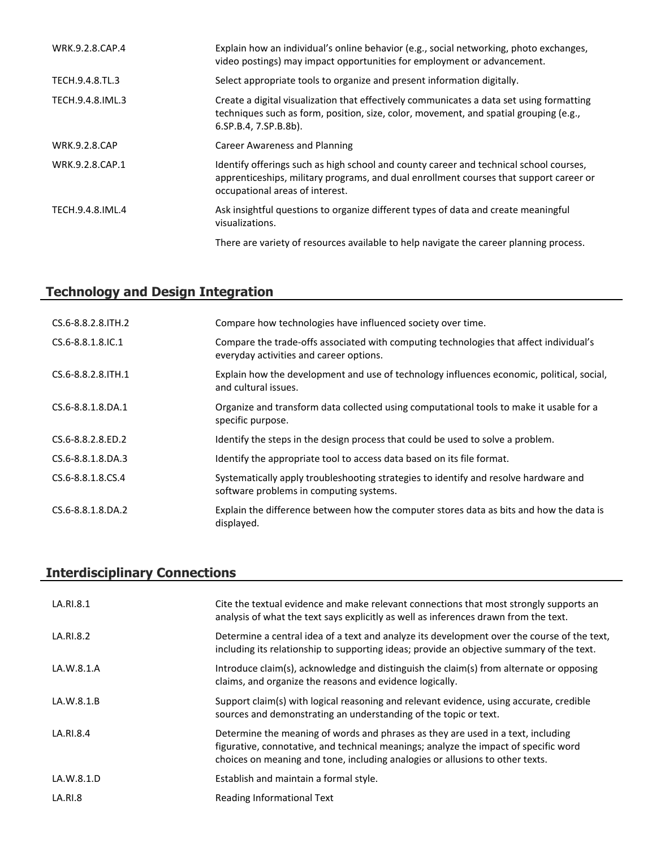| WRK.9.2.8.CAP.4      | Explain how an individual's online behavior (e.g., social networking, photo exchanges,<br>video postings) may impact opportunities for employment or advancement.                                                   |
|----------------------|---------------------------------------------------------------------------------------------------------------------------------------------------------------------------------------------------------------------|
| TECH.9.4.8.TL.3      | Select appropriate tools to organize and present information digitally.                                                                                                                                             |
| TECH.9.4.8.IML.3     | Create a digital visualization that effectively communicates a data set using formatting<br>techniques such as form, position, size, color, movement, and spatial grouping (e.g.,<br>6.SP.B.4, 7.SP.B.8b).          |
| <b>WRK.9.2.8.CAP</b> | Career Awareness and Planning                                                                                                                                                                                       |
| WRK.9.2.8.CAP.1      | Identify offerings such as high school and county career and technical school courses,<br>apprenticeships, military programs, and dual enrollment courses that support career or<br>occupational areas of interest. |
| TECH.9.4.8.IML.4     | Ask insightful questions to organize different types of data and create meaningful<br>visualizations.                                                                                                               |
|                      | There are variety of resources available to help navigate the career planning process.                                                                                                                              |

# **Technology and Design Integration**

| CS.6-8.8.2.8. TH. 2         | Compare how technologies have influenced society over time.                                                                       |
|-----------------------------|-----------------------------------------------------------------------------------------------------------------------------------|
| $CS.6 - 8.8.1.8$ . IC. 1    | Compare the trade-offs associated with computing technologies that affect individual's<br>everyday activities and career options. |
| $CS.6 - 8.8.2.8$ . ITH $.1$ | Explain how the development and use of technology influences economic, political, social,<br>and cultural issues.                 |
| CS.6-8.8.1.8.DA.1           | Organize and transform data collected using computational tools to make it usable for a<br>specific purpose.                      |
| CS.6-8.8.2.8.ED.2           | Identify the steps in the design process that could be used to solve a problem.                                                   |
| $CS.6 - 8.8.1.8.DA.3$       | Identify the appropriate tool to access data based on its file format.                                                            |
| CS.6-8.8.1.8.CS.4           | Systematically apply troubleshooting strategies to identify and resolve hardware and<br>software problems in computing systems.   |
| CS.6-8.8.1.8.DA.2           | Explain the difference between how the computer stores data as bits and how the data is<br>displayed.                             |

# **Interdisciplinary Connections**

| LA.RI.8.1  | Cite the textual evidence and make relevant connections that most strongly supports an<br>analysis of what the text says explicitly as well as inferences drawn from the text.                                                                            |
|------------|-----------------------------------------------------------------------------------------------------------------------------------------------------------------------------------------------------------------------------------------------------------|
| LA.RI.8.2  | Determine a central idea of a text and analyze its development over the course of the text,<br>including its relationship to supporting ideas; provide an objective summary of the text.                                                                  |
| LA.W.8.1.A | Introduce claim(s), acknowledge and distinguish the claim(s) from alternate or opposing<br>claims, and organize the reasons and evidence logically.                                                                                                       |
| LA.W.8.1.B | Support claim(s) with logical reasoning and relevant evidence, using accurate, credible<br>sources and demonstrating an understanding of the topic or text.                                                                                               |
| LA.RI.8.4  | Determine the meaning of words and phrases as they are used in a text, including<br>figurative, connotative, and technical meanings; analyze the impact of specific word<br>choices on meaning and tone, including analogies or allusions to other texts. |
| LA.W.8.1.D | Establish and maintain a formal style.                                                                                                                                                                                                                    |
| LA.RI.8    | Reading Informational Text                                                                                                                                                                                                                                |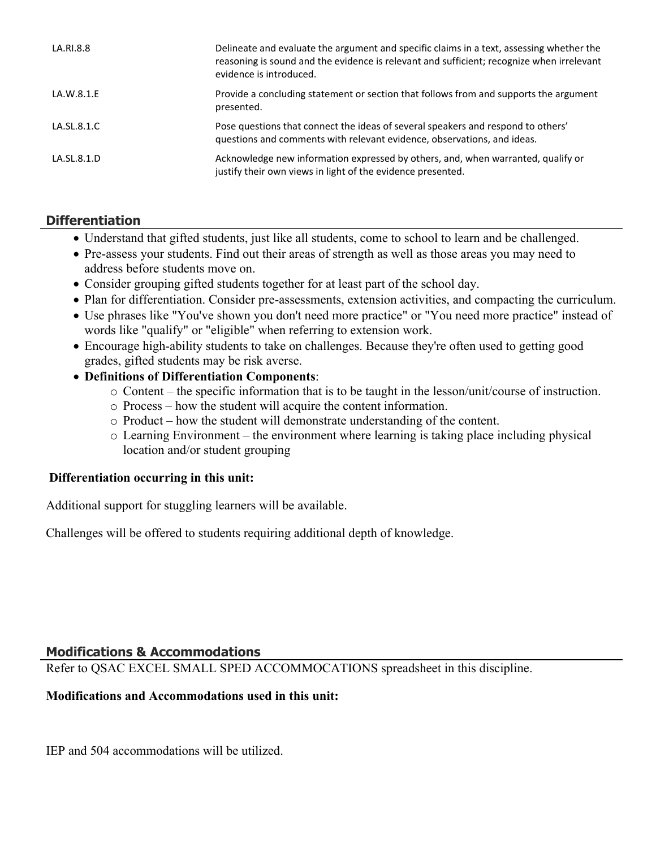| LA.RI.8.8   | Delineate and evaluate the argument and specific claims in a text, assessing whether the<br>reasoning is sound and the evidence is relevant and sufficient; recognize when irrelevant<br>evidence is introduced. |
|-------------|------------------------------------------------------------------------------------------------------------------------------------------------------------------------------------------------------------------|
| LA.W.8.1.E  | Provide a concluding statement or section that follows from and supports the argument<br>presented.                                                                                                              |
| LA.SL.8.1.C | Pose questions that connect the ideas of several speakers and respond to others'<br>guestions and comments with relevant evidence, observations, and ideas.                                                      |
| LA.SL.8.1.D | Acknowledge new information expressed by others, and, when warranted, qualify or<br>justify their own views in light of the evidence presented.                                                                  |

# **Differentiation**

- Understand that gifted students, just like all students, come to school to learn and be challenged.
- Pre-assess your students. Find out their areas of strength as well as those areas you may need to address before students move on.
- Consider grouping gifted students together for at least part of the school day.
- Plan for differentiation. Consider pre-assessments, extension activities, and compacting the curriculum.
- Use phrases like "You've shown you don't need more practice" or "You need more practice" instead of words like "qualify" or "eligible" when referring to extension work.
- Encourage high-ability students to take on challenges. Because they're often used to getting good grades, gifted students may be risk averse.
- **Definitions of Differentiation Components**:
	- o Content the specific information that is to be taught in the lesson/unit/course of instruction.
	- o Process how the student will acquire the content information.
	- o Product how the student will demonstrate understanding of the content.
	- o Learning Environment the environment where learning is taking place including physical location and/or student grouping

#### **Differentiation occurring in this unit:**

Additional support for stuggling learners will be available.

Challenges will be offered to students requiring additional depth of knowledge.

# **Modifications & Accommodations**

Refer to QSAC EXCEL SMALL SPED ACCOMMOCATIONS spreadsheet in this discipline.

# **Modifications and Accommodations used in this unit:**

IEP and 504 accommodations will be utilized.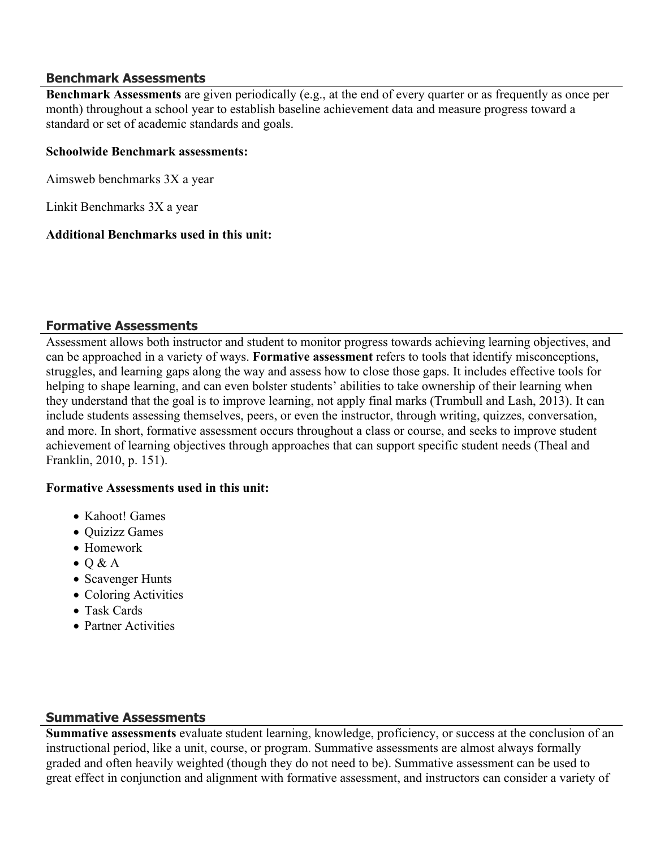#### **Benchmark Assessments**

**Benchmark Assessments** are given periodically (e.g., at the end of every quarter or as frequently as once per month) throughout a school year to establish baseline achievement data and measure progress toward a standard or set of academic standards and goals.

#### **Schoolwide Benchmark assessments:**

Aimsweb benchmarks 3X a year

Linkit Benchmarks 3X a year

#### **Additional Benchmarks used in this unit:**

#### **Formative Assessments**

Assessment allows both instructor and student to monitor progress towards achieving learning objectives, and can be approached in a variety of ways. **Formative assessment** refers to tools that identify misconceptions, struggles, and learning gaps along the way and assess how to close those gaps. It includes effective tools for helping to shape learning, and can even bolster students' abilities to take ownership of their learning when they understand that the goal is to improve learning, not apply final marks (Trumbull and Lash, 2013). It can include students assessing themselves, peers, or even the instructor, through writing, quizzes, conversation, and more. In short, formative assessment occurs throughout a class or course, and seeks to improve student achievement of learning objectives through approaches that can support specific student needs (Theal and Franklin, 2010, p. 151).

#### **Formative Assessments used in this unit:**

- Kahoot! Games
- Quizizz Games
- Homework
- $\bullet$  Q & A
- Scavenger Hunts
- Coloring Activities
- Task Cards
- Partner Activities

# **Summative Assessments**

Summative assessments evaluate student learning, knowledge, proficiency, or success at the conclusion of an instructional period, like a unit, course, or program. Summative assessments are almost always formally graded and often heavily weighted (though they do not need to be). Summative assessment can be used to great effect in conjunction and alignment with formative assessment, and instructors can consider a variety of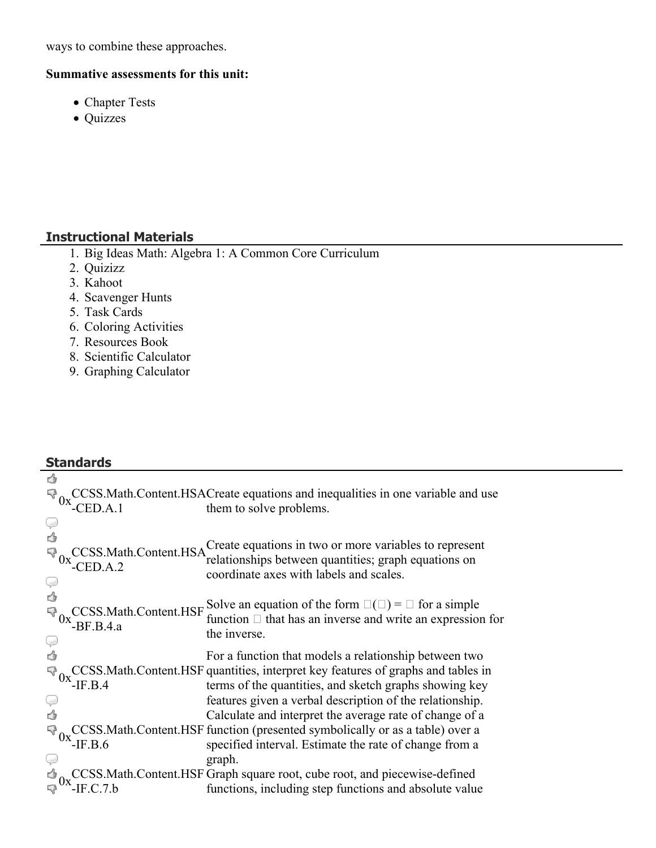ways to combine these approaches.

## **Summative assessments for this unit:**

- Chapter Tests
- Quizzes

# **Instructional Materials**

- 1. Big Ideas Math: Algebra 1: A Common Core Curriculum
- 2. Quizizz
- 3. Kahoot

**Standards**

- 4. Scavenger Hunts
- 5. Task Cards
- 6. Coloring Activities
- 7. Resources Book
- 8. Scientific Calculator
- 9. Graphing Calculator

| ₫                       |                                                       |                                                                                     |
|-------------------------|-------------------------------------------------------|-------------------------------------------------------------------------------------|
| $\mathbb{R}^3_{0x}$     |                                                       | CCSS. Math. Content. HSAC reate equations and inequalities in one variable and use  |
|                         | $-$ CED.A.1                                           | them to solve problems.                                                             |
| Ψ                       |                                                       |                                                                                     |
| ₫                       |                                                       | Create equations in two or more variables to represent                              |
| $\mathbb{R}^3_{0x}$     | CCSS.Math.Content.HSA                                 | relationships between quantities; graph equations on                                |
|                         | $-$ CED.A.2                                           | coordinate axes with labels and scales.                                             |
| V<br>4                  |                                                       |                                                                                     |
|                         |                                                       | Solve an equation of the form $\square(\square) = \square$ for a simple             |
| $\mathbb{R}_{0x}$       | CCSS.Math.Content.HSF                                 | function $\Box$ that has an inverse and write an expression for                     |
|                         | $-BF.B.4.a$                                           | the inverse.                                                                        |
| V<br>4                  |                                                       | For a function that models a relationship between two                               |
|                         |                                                       | CCSS. Math. Content. HSF quantities, interpret key features of graphs and tables in |
| $\mathbb{R}^3_{0x}$     | $-IF.B.4$                                             | terms of the quantities, and sketch graphs showing key                              |
| Ç                       |                                                       | features given a verbal description of the relationship.                            |
| Ġ                       |                                                       | Calculate and interpret the average rate of change of a                             |
|                         |                                                       | CCSS. Math. Content. HSF function (presented symbolically or as a table) over a     |
|                         | $\sqrt[3]{\phantom{a}}_{0x}$ ox $\phantom{a}$ -IF.B.6 | specified interval. Estimate the rate of change from a                              |
|                         |                                                       | graph.                                                                              |
|                         |                                                       | CCSS. Math. Content. HSF Graph square root, cube root, and piecewise-defined        |
| $\frac{1}{\sqrt{3}}$ 0x | $-F.C.7.b$                                            | functions, including step functions and absolute value                              |